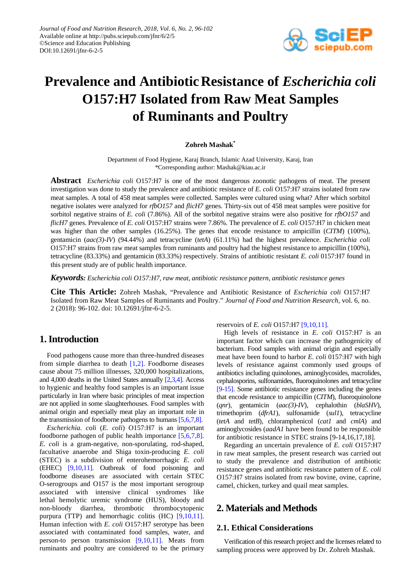

# **Prevalence and AntibioticResistance of** *Escherichia coli* **O157:H7 Isolated from Raw Meat Samples of Ruminants and Poultry**

#### **Zohreh Mashak\***

Department of Food Hygiene, Karaj Branch, Islamic Azad University, Karaj, Iran \*Corresponding author: Mashak@kiau.ac.ir

**Abstract** *Escherichia coli* O157:H7 is one of the most dangerous zoonotic pathogens of meat. The present investigation was done to study the prevalence and antibiotic resistance of *E. coli* O157:H7 strains isolated from raw meat samples. A total of 458 meat samples were collected. Samples were cultured using what? After which sorbitol negative isolates were analyzed for *rfbO157* and *flicH7* genes. Thirty-six out of 458 meat samples were positive for sorbitol negative strains of *E. coli* (7.86%). All of the sorbitol negative strains were also positive for *rfbO157* and *flicH7* genes. Prevalence of *E. coli* O157:H7 strains were 7.86%. The prevalence of *E. coli* O157:H7 in chicken meat was higher than the other samples (16.25%). The genes that encode resistance to ampicillin (*CITM*) (100%), gentamicin (*aac(3)-IV*) (94.44%) and tetracycline (*tetA*) (61.11%) had the highest prevalence. *Escherichia coli* O157:H7 strains from raw meat samples from ruminants and poultry had the highest resistance to ampicillin (100%), tetracycline (83.33%) and gentamicin (83.33%) respectively. Strains of antibiotic resistant *E. coli* 0157:H7 found in this present study are of public health importance.

*Keywords: Escherichia coli O157:H7, raw meat, antibiotic resistance pattern, antibiotic resistance genes*

**Cite This Article:** Zohreh Mashak, "Prevalence and Antibiotic Resistance of *Escherichia coli* O157:H7 Isolated from Raw Meat Samples of Ruminants and Poultry." *Journal of Food and Nutrition Research*, vol. 6, no. 2 (2018): 96-102. doi: 10.12691/jfnr-6-2-5.

# **1. Introduction**

Food pathogens cause more than three-hundred diseases from simple diarrhea to death  $[1,2]$ . Foodborne diseases cause about 75 million illnesses, 320,000 hospitalizations, and 4,000 deaths in the United States annually [\[2,3,4\].](#page-5-1) Access to hygienic and healthy food samples is an important issue particularly in Iran where basic principles of meat inspection are not applied in some slaughterhouses. Food samples with animal origin and especially meat play an important role in the transmission of foodborne pathogens to humans [\[5,6,7,8\].](#page-5-2)

*Escherichia. coli* (*E. coli*) O157:H7 is an important foodborne pathogen of public health importance [\[5,6,7,8\].](#page-5-2) *E. coli* is a gram-negative, non-sporulating, rod-shaped, facultative anaerobe and Shiga toxin-producing *E. coli*  (STEC) is a subdivision of enterohemorrhagic *E. coli*  (EHEC) [\[9,10,11\].](#page-5-3) Outbreak of food poisoning and foodborne diseases are associated with certain STEC O-serogroups and O157 is the most important serogroup associated with intensive clinical syndromes like lethal hemolytic uremic syndrome (HUS), bloody and non-bloody diarrhea, thrombotic thrombocytopenic purpura (TTP) and hemorrhagic colitis (HC) [\[9,10,11\].](#page-5-3) Human infection with *E. coli* O157:H7 serotype has been associated with contaminated food samples, water, and person-to person transmission [\[9,10,11\].](#page-5-3) Meats from ruminants and poultry are considered to be the primary

reservoirs of *E. coli* O157:H7 [\[9,10,11\].](#page-5-3)

High levels of resistance in *E. coli* O157:H7 is an important factor which can increase the pathogenicity of bacterium. Food samples with animal origin and especially meat have been found to harbor *E. coli* 0157:H7 with high levels of resistance against commonly used groups of antibiotics including quinolones, aminoglycosides, macrolides, cephalosporins, sulfonamides, fluoroquinolones and tetracycline [\[9-15\].](#page-5-3) Some antibiotic resistance genes including the genes that encode resistance to ampicillin (*CITM*), fluoroquinolone (*qnr*), gentamicin (*aac(3)-IV*), cephalothin (*blaSHV*), trimethoprim (*dfrA1*), sulfonamide (*sul1*), tetracycline (*tetA* and *tetB*), chloramphenicol (*cat1* and *cmlA*) and aminoglycosides (*aadA1* have been found to be responsible for antibiotic resistance in STEC strains [9-14,16,17,18].

Regarding an uncertain prevalence of *E. coli* O157:H7 in raw meat samples, the present research was carried out to study the prevalence and distribution of antibiotic resistance genes and antibiotic resistance pattern of *E. coli* O157:H7 strains isolated from raw bovine, ovine, caprine, camel, chicken, turkey and quail meat samples.

# **2. Materials and Methods**

#### **2.1. Ethical Considerations**

Verification of this research project and the licenses related to sampling process were approved by Dr. Zohreh Mashak.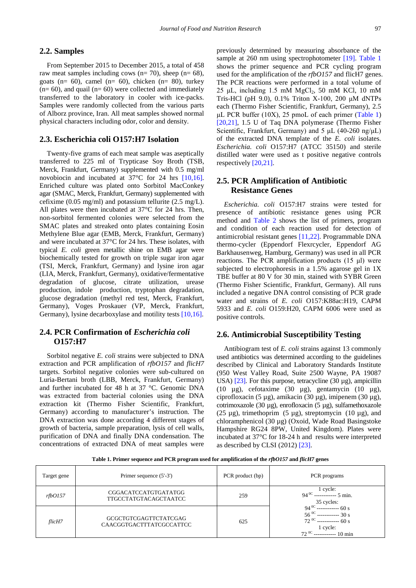#### **2.2. Samples**

From September 2015 to December 2015, a total of 458 raw meat samples including cows ( $n= 70$ ), sheep ( $n= 68$ ), goats (n= 60), camel (n= 60), chicken (n= 80), turkey  $(n= 60)$ , and quail  $(n= 60)$  were collected and immediately transferred to the laboratory in cooler with ice-packs. Samples were randomly collected from the various parts of Alborz province, Iran. All meat samples showed normal physical characters including odor, color and density.

#### **2.3. Escherichia coli O157:H7 Isolation**

Twenty-five grams of each meat sample was aseptically transferred to 225 ml of Trypticase Soy Broth (TSB, Merck, Frankfurt, Germany) supplemented with 0.5 mg/ml novobiocin and incubated at 37°C for 24 hrs [\[10,16\].](#page-5-4) Enriched culture was plated onto Sorbitol MacConkey agar (SMAC, Merck, Frankfurt, Germany) supplemented with cefixime (0.05 mg/ml) and potassium tellurite (2.5 mg/L). All plates were then incubated at 37°C for 24 hrs. Then, non-sorbitol fermented colonies were selected from the SMAC plates and streaked onto plates containing Eosin Methylene Blue agar (EMB, Merck, Frankfurt, Germany) and were incubated at 37°C for 24 hrs. These isolates, with typical *E. coli* green metallic shine on EMB agar were biochemically tested for growth on triple sugar iron agar (TSI, Merck, Frankfurt, Germany) and lysine iron agar (LIA, Merck, Frankfurt, Germany), oxidative/fermentative degradation of glucose, citrate utilization, urease production, indole production, tryptophan degradation, glucose degradation (methyl red test, Merck, Frankfurt, Germany), Voges Proskauer (VP, Merck, Frankfurt, Germany), lysine decarboxylase and motility test[s \[10,16\].](#page-5-4)

## **2.4. PCR Confirmation of** *Escherichia coli* **O157:H7**

Sorbitol negative *E. coli* strains were subjected to DNA extraction and PCR amplification of *rfbO157* and *flicH7* targets. Sorbitol negative colonies were sub-cultured on Luria-Bertani broth (LBB, Merck, Frankfurt, Germany) and further incubated for 48 h at 37 °C. Genomic DNA was extracted from bacterial colonies using the DNA extraction kit (Thermo Fisher Scientific, Frankfurt, Germany) according to manufacturer's instruction. The DNA extraction was done according 4 different stages of growth of bacteria, sample preparation, lysis of cell walls, purification of DNA and finally DNA condensation. The concentrations of extracted DNA of meat samples were

previously determined by measuring absorbance of the sample at 260 nm using spectrophotometer [\[19\].](#page-5-5) [Table 1](#page-1-0) shows the primer sequence and PCR cycling program used for the amplification of the *rfbO157* and flicH7 genes. The PCR reactions were performed in a total volume of  $25 \mu L$ , including 1.5 mM MgCl<sub>2</sub>, 50 mM KCl, 10 mM Tris-HCl (pH 9.0), 0.1% Triton X-100, 200 μM dNTPs each (Thermo Fisher Scientific, Frankfurt, Germany), 2.5 μL PCR buffer  $(10X)$ , 25 pmoL of each primer  $(Table 1)$  $(Table 1)$ [\[20,21\],](#page-5-6) 1.5 U of Taq DNA polymerase (Thermo Fisher Scientific, Frankfurt, Germany) and 5  $\mu$ L (40-260 ng/ $\mu$ L) of the extracted DNA template of the *E. coli* isolates. *Escherichia. coli* O157:H7 (ATCC 35150) and sterile distilled water were used as t positive negative controls respectively [\[20,21\].](#page-5-6)

# **2.5. PCR Amplification of Antibiotic Resistance Genes**

*Escherichia. coli* O157:H7 strains were tested for presence of antibiotic resistance genes using PCR method and [Table 2](#page-2-0) shows the list of primers, program and condition of each reaction used for detection of antimicrobial resistant genes [\[11,22\].](#page-5-7) Programmable DNA thermo-cycler (Eppendorf Flexrcycler, Eppendorf AG Barkhausenweg, Hamburg, Germany) was used in all PCR reactions. The PCR amplification products (15 μl) were subjected to electrophoresis in a 1.5% agarose gel in 1X TBE buffer at 80 V for 30 min, stained with SYBR Green (Thermo Fisher Scientific, Frankfurt, Germany). All runs included a negative DNA control consisting of PCR grade water and strains of *E. coli* O157:K88ac:H19, CAPM 5933 and *E. coli* O159:H20, CAPM 6006 were used as positive controls.

#### **2.6. Antimicrobial Susceptibility Testing**

Antibiogram test of *E. coli* strains against 13 commonly used antibiotics was determined according to the guidelines described by Clinical and Laboratory Standards Institute (950 West Valley Road, Suite 2500 Wayne, PA 19087 USA)  $[23]$ . For this purpose, tetracycline (30  $\mu$ g), ampicillin (10 µg), cefotaxime (30 µg), gentamycin (10 µg), ciprofloxacin (5 µg), amikacin (30 µg), imipenem (30 µg), cotrimoxazole (30 µg), enrofloxacin (5 µg), sulfamethoxazole (25  $\mu$ g), trimethoprim (5  $\mu$ g), streptomycin (10  $\mu$ g), and chloramphenicol (30 µg) (Oxoid, Wade Road Basingstoke Hampshire RG24 8PW, United Kingdom). Plates were incubated at 37°C for 18-24 h and results were interpreted as described by CLSI (2012[\) \[23\].](#page-5-8)

**Table 1. Primer sequence and PCR program used for amplification of the** *rfbO157* **and** *flicH7* **genes**

<span id="page-1-0"></span>

| Target gene | Primer sequence (5'-3')                              | PCR product (bp) | PCR programs                                                                                                                                                      |
|-------------|------------------------------------------------------|------------------|-------------------------------------------------------------------------------------------------------------------------------------------------------------------|
| rfbO157     | CGGACATCCATGTGATATGG<br><b>TTGCCTATGTACAGCTAATCC</b> | 259              | $1$ cycle:<br>94 <sup>0C</sup> ------------ 5 min.<br>35 cycles:                                                                                                  |
| flicH7      | GCGCTGTCGAGTTCTATCGAG<br>CAACGGTGACTTTATCGCCATTCC    | 625              | $94^{00}$ ------------- 60 s<br>$56 \text{ °C}$ ------------ 30 s<br>72 $\text{ °C}$ ------------ 60 s<br>$\frac{1 \text{ cycle:}}{72^{00} \dots 10 \text{ min}}$ |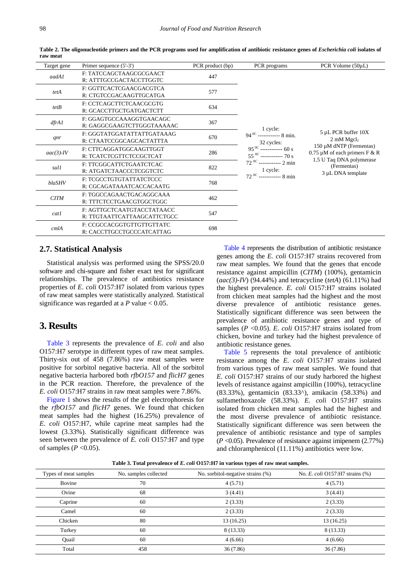| Target gene | Primer sequence (5'-3')                                   | PCR product (bp) | PCR programs                                                                                                                           | PCR Volume $(50\mu L)$                                                                    |  |  |
|-------------|-----------------------------------------------------------|------------------|----------------------------------------------------------------------------------------------------------------------------------------|-------------------------------------------------------------------------------------------|--|--|
| aadA1       | F: TATCCAGCTAAGCGCGAACT<br>R: ATTTGCCGACTACCTTGGTC        | 447              |                                                                                                                                        |                                                                                           |  |  |
| tetA        | F: GGTTCACTCGAACGACGTCA<br>R: CTGTCCGACAAGTTGCATGA        | 577              |                                                                                                                                        |                                                                                           |  |  |
| tetB        | F: CCTCAGCTTCTCAACGCGTG<br>R: GCACCTTGCTGATGACTCTT        | 634              |                                                                                                                                        |                                                                                           |  |  |
| dfrAI       | F: GGAGTGCCAAAGGTGAACAGC<br>R: GAGGCGAAGTCTTGGGTAAAAAC    | 367              | 1 cycle:                                                                                                                               |                                                                                           |  |  |
| qnr         | F: GGGTATGGATATTATTGATAAAG<br>R: CTAATCCGGCAGCACTATTTA    | 670              | $94^{0C}$ ------------ 8 min.<br>32 cycles:                                                                                            | $5 \mu L$ PCR buffer $10X$<br>$2 \text{ mM } M$ gcl <sub>2</sub>                          |  |  |
| $aac(3)-IV$ | F: CTTCAGGATGGCAAGTTGGT<br>R: TCATCTCGTTCTCCGCTCAT        | 286              | $95^{0C}$ ------------ 60 s<br>$55^{0}$ ------------ 70 s<br>$72^{00}$ ------------ 2 min<br>1 cycle:<br>$72^{0C}$ ------------- 8 min | 150 µM dNTP (Fermentas)<br>0.75 $\mu$ M of each primers F & R<br>1.5 U Taq DNA polymerase |  |  |
| sul1        | F: TTCGGCATTCTGAATCTCAC<br>R: ATGATCTAACCCTCGGTCTC        | 822              |                                                                                                                                        | (Fermentas)<br>3 µL DNA template                                                          |  |  |
| blaSHV      | F: TCGCCTGTGTATTATCTCCC<br>R: CGCAGATAAATCACCACAATG       | 768              |                                                                                                                                        |                                                                                           |  |  |
| <b>CITM</b> | F: TGGCCAGAACTGACAGGCAAA<br>R: TTTCTCCTGAACGTGGCTGGC      | 462              |                                                                                                                                        |                                                                                           |  |  |
| cat1        | F: AGTTGCTCAATGTACCTATAACC<br>R: TTGTAATTCATTAAGCATTCTGCC | 547              |                                                                                                                                        |                                                                                           |  |  |
| cmlA        | F: CCGCCACGGTGTTGTTGTTATC<br>R: CACCTTGCCTGCCCATCATTAG    | 698              |                                                                                                                                        |                                                                                           |  |  |

**Table 2. The oligonucleotide primers and the PCR programs used for amplification of antibiotic resistance genes of** *Escherichia coli* **isolates of raw meat**

#### **2.7. Statistical Analysis**

Statistical analysis was performed using the SPSS/20.0 software and chi-square and fisher exact test for significant relationships. The prevalence of antibiotics resistance properties of *E*. *coli* O157:H7 isolated from various types of raw meat samples were statistically analyzed. Statistical significance was regarded at a  $P$  value  $< 0.05$ .

## **3. Results**

[Table 3](#page-2-1) represents the prevalence of *E. coli* and also O157:H7 serotype in different types of raw meat samples. Thirty-six out of 458 (7.86%) raw meat samples were positive for sorbitol negative bacteria. All of the sorbitol negative bacteria harbored both *rfbO157* and *flicH7* genes in the PCR reaction. Therefore, the prevalence of the *E. coli* O157:H7 strains in raw meat samples were 7.86%.

[Figure 1](#page-3-0) shows the results of the gel electrophoresis for the *rfbO157* and *flicH7* genes. We found that chicken meat samples had the highest (16.25%) prevalence of *E. coli* O157:H7, while caprine meat samples had the lowest (3.33%). Statistically significant difference was seen between the prevalence of *E. coli* O157:H7 and type of samples  $(P \le 0.05)$ .

<span id="page-2-0"></span>[Table 4](#page-3-1) represents the distribution of antibiotic resistance genes among the *E. coli* O157:H7 strains recovered from raw meat samples. We found that the genes that encode resistance against ampicillin (*CITM*) (100%), gentamicin (*aac(3)-IV*) (94.44%) and tetracycline (*tetA*) (61.11%) had the highest prevalence. *E. coli* O157:H7 strains isolated from chicken meat samples had the highest and the most diverse prevalence of antibiotic resistance genes. Statistically significant difference was seen between the prevalence of antibiotic resistance genes and type of samples (*P* <0.05). *E. coli* O157:H7 strains isolated from chicken, bovine and turkey had the highest prevalence of antibiotic resistance genes.

[Table 5](#page-3-2) represents the total prevalence of antibiotic resistance among the *E. coli* O157:H7 strains isolated from various types of raw meat samples. We found that *E. coli* O157:H7 strains of our study harbored the highest levels of resistance against ampicillin (100%), tetracycline (83.33%), gentamicin (83.33^), amikacin (58.33%) and sulfamethoxazole (58.33%). *E. coli* O157:H7 strains isolated from chicken meat samples had the highest and the most diverse prevalence of antibiotic resistance. Statistically significant difference was seen between the prevalence of antibiotic resistance and type of samples (*P* <0.05). Prevalence of resistance against imipenem (2.77%) and chloramphenicol (11.11%) antibiotics were low.

**Table 3. Total prevalence of** *E. coli* **O157:H7 in various types of raw meat samples.**

<span id="page-2-1"></span>

| Types of meat samples | No. samples collected | No. sorbitol-negative strains (%) | No. E. coli O157:H7 strains (%) |  |  |
|-----------------------|-----------------------|-----------------------------------|---------------------------------|--|--|
| Bovine                | 70                    | 4(5.71)                           | 4(5.71)                         |  |  |
| Ovine                 | 68                    | 3(4.41)                           | 3(4.41)                         |  |  |
| Caprine               | 60                    | 2(3.33)                           | 2(3.33)                         |  |  |
| Camel                 | 60                    | 2(3.33)                           | 2(3.33)                         |  |  |
| Chicken               | 80                    | 13(16.25)                         | 13(16.25)                       |  |  |
| Turkey                | 60                    | 8 (13.33)                         | 8 (13.33)                       |  |  |
| Quail                 | 60                    | 4(6.66)                           | 4(6.66)                         |  |  |
| Total                 | 458                   | 36(7.86)                          | 36(7.86)                        |  |  |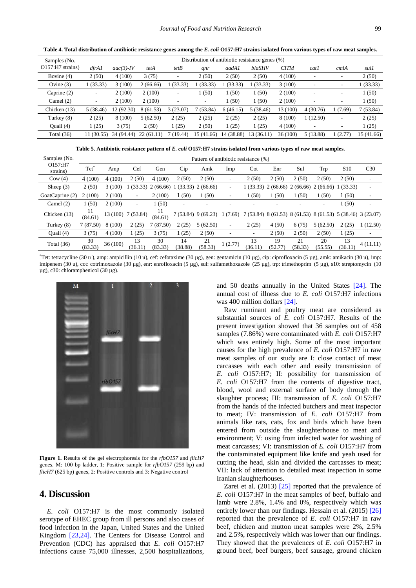<span id="page-3-1"></span>Samples (No. O157:H7 strains) Distribution of antibiotic resistance genes (%) *dfrA1 aac(3)-IV tetA tetB qnr aadA1 blaSHV CITM cat1 cmlA sul1* Bovine (4)  $2(50)$   $4(100)$   $3(75)$   $2(50)$   $2(50)$   $2(50)$   $4(100)$   $2(50)$ Ovine (3) 1 (33.33) 3 (100) 2 (66.66) 1 (33.33) 1 (33.33) 1 (33.33) 1 (33.33) 3 (100) - - 1 (33.33) Caprine (2) - 2 (100) 2 (100) - 1 (50) 1 (50) 1 (50) 2 (100) - - 1 (50) Camel (2)  $\qquad \qquad -2 (100) \qquad 2 (100) \qquad -1 (50) \qquad 1 (50) \qquad 2 (100) \qquad -1 (50)$ Chicken (13) 5 (38.46) 12 (92.30) 8 (61.53) 3 (23.07) 7 (53.84) 6 (46.15) 5 (38.46) 13 (100) 4 (30.76) 1 (7.69) 7 (53.84) Turkey (8) 2 (25) 8 (100) 5 (62.50) 2 (25) 2 (25) 2 (25) 2 (25) 8 (100) 1 (12.50) - 2 (25) Quail (4)  $1 (25) 3 (75) 2 (50) 1 (25) 2 (50) 1 (25) 1 (25) 4 (100)$  - - 1 (25) Total (36) 11 (30.55) 34 (94.44) 22 (61.11) 7 (19.44) 15 (41.66) 14 (38.88) 13 (36.11) 36 (100) 5 (13.88) 1 (2.77) 15 (41.66)

**Table 4. Total distribution of antibiotic resistance genes among the** *E. coli* **O157:H7 strains isolated from various types of raw meat samples.**

**Table 5. Antibiotic resistance pattern of** *E. coli* **O157:H7 strains isolated from various types of raw meat samples.**

<span id="page-3-2"></span>

| Samples (No.        | Pattern of antibiotic resistance (%) |         |                    |                     |                          |                          |         |                                                             |               |                               |                          |                 |                          |
|---------------------|--------------------------------------|---------|--------------------|---------------------|--------------------------|--------------------------|---------|-------------------------------------------------------------|---------------|-------------------------------|--------------------------|-----------------|--------------------------|
| O157:H7<br>strains) | Tet                                  | Amp     | Cef                | Gen                 | Cip                      | Amk                      | Imp     | $\cot$                                                      | Enr           | Sul                           | Trp                      | S <sub>10</sub> | C <sub>30</sub>          |
| Cow(4)              | 4(100)                               | 4(100)  | 2(50)              | 4(100)              | 2(50)                    | 2(50)                    | ۰       | 2(50)                                                       | 2(50)         | 2(50)                         | 2(50)                    | 2(50)           | ٠                        |
| Sheep $(3)$         | 2(50)                                | 3(100)  |                    | $(33.33)$ 2 (66.66) | (33.33)                  | 2(66.66)                 |         |                                                             |               | $(33.33)$ 2 (66.66) 2 (66.66) | 2(66,66)                 | 1(33.33)        | ٠                        |
| GoatCaprine (2)     | 2(100)                               | 2(100)  | ٠                  | 2(100)              | (50)                     | 1(50)                    | ٠       | 1(50)                                                       | 1(50)         | 1(50)                         | 1(50)                    | 1(50)           | $\overline{\phantom{a}}$ |
| Camel $(2)$         | 1(50)                                | 2(100)  | ٠                  | 1(50)               | $\overline{\phantom{a}}$ | $\overline{\phantom{a}}$ |         |                                                             | ۰             |                               | $\overline{\phantom{a}}$ | 1(50)           | $\overline{\phantom{a}}$ |
| Chicken $(13)$      | 11<br>(84.61)                        |         | 13 (100) 7 (53.84) | 11<br>(84.61)       |                          | $7(53.84)$ 9 (69.23)     | 1(7.69) | 7 (53.84) 8 (61.53) 8 (61.53) 8 (61.53) 5 (38.46) 3 (23.07) |               |                               |                          |                 |                          |
| Turkey $(8)$        | 7(87.50)                             | 8 (100) | 2(25)              | (87.50)             | 2(25)                    | 5(62.50)                 | ٠       | 2(25)                                                       | 4(50)         | 6(75)                         | 5(62.50)                 | 2(25)           | (12.50)                  |
| Quail (4)           | 3(75)                                | 4(100)  | (25)               | 3(75)               | (25)                     | 2(50)                    |         | ۰                                                           | 2(50)         | 2(50)                         | 2(50)                    | 1(25)           | ۰                        |
| Total $(36)$        | 30<br>(83.33)                        | 36(100) | 13<br>(36.11)      | 30<br>(83.33)       | 14<br>(38.88)            | 21<br>(58.33)            | 1(2.77) | 13<br>(36.11)                                               | 19<br>(52.77) | 21<br>(58.33)                 | 20<br>(55.55)            | 13<br>(36.11)   | 4(11.11)                 |

\* Tet: tetracycline (30 u ), amp: ampicillin (10 u), cef: cefotaxime (30 µg), gen: gentamicin (10 µg), cip: ciprofloxacin (5 µg), amk: amikacin (30 u), imp: imipenem (30 u), cot: cotrimoxazole (30 µg), enr: enrofloxacin (5 µg), sul: sulfamethoxazole (25 µg), trp: trimethoprim (5 µg), s10: streptomycin (10 µg), c30: chloramphenicol (30 µg).

<span id="page-3-0"></span>

**Figure 1.** Results of the gel electrophoresis for the *rfbO157* and *flicH7* genes. M: 100 bp ladder, 1: Positive sample for *rfbO157* (259 bp) and *flicH7* (625 bp) genes, 2: Positive controls and 3: Negative control

# **4. Discussion**

*E. coli* O157:H7 is the most commonly isolated serotype of EHEC group from ill persons and also cases of food infection in the Japan, United States and the United Kingdom [\[23,24\].](#page-5-8) The Centers for Disease Control and Prevention (CDC) has appraised that *E. coli* O157:H7 infections cause 75,000 illnesses, 2,500 hospitalizations, and 50 deaths annually in the United States [\[24\].](#page-5-9) The annual cost of illness due to *E. coli* O157:H7 infections was 400 million dollars [\[24\].](#page-5-9)

Raw ruminant and poultry meat are considered as substantial sources of *E. coli* O157:H7. Results of the present investigation showed that 36 samples out of 458 samples (7.86%) were contaminated with *E. coli* O157:H7 which was entirely high. Some of the most important causes for the high prevalence of *E. coli* O157:H7 in raw meat samples of our study are I: close contact of meat carcasses with each other and easily transmission of *E. coli* O157:H7; II: possibility for transmission of *E. coli* O157:H7 from the contents of digestive tract, blood, wool and external surface of body through the slaughter process; III: transmission of *E. coli* O157:H7 from the hands of the infected butchers and meat inspector to meat; IV: transmission of *E. coli* O157:H7 from animals like rats, cats, fox and birds which have been entered from outside the slaughterhouse to meat and environment; V: using from infected water for washing of meat carcasses; VI: transmission of *E. coli* O157:H7 from the contaminated equipment like knife and yeah used for cutting the head, skin and divided the carcasses to meat; VII: lack of attention to detailed meat inspection in some Iranian slaughterhouses.

Zarei et al.  $(2013)$  [\[25\]](#page-5-10) reported that the prevalence of *E. coli* O157:H7 in the meat samples of beef, buffalo and lamb were 2.8%, 1.4% and 0%, respectively which was entirely lower than our findings. Hessain et al. (2015) [\[26\]](#page-5-11) reported that the prevalence of *E. coli* O157:H7 in raw beef, chicken and mutton meat samples were 2%, 2.5% and 2.5%, respectively which was lower than our findings. They showed that the prevalences of *E. coli* O157:H7 in ground beef, beef burgers, beef sausage, ground chicken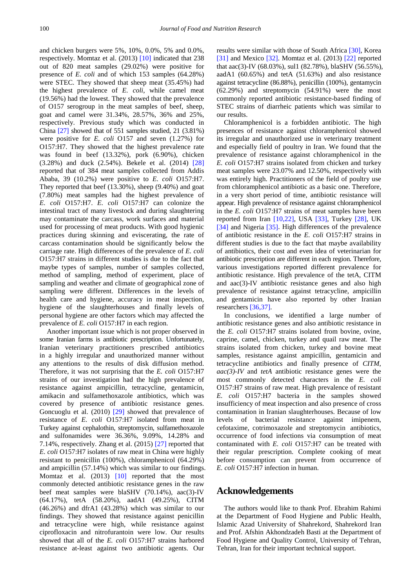and chicken burgers were 5%, 10%, 0.0%, 5% and 0.0%, respectively. Momtaz et al. (2013) [\[10\]](#page-5-4) indicated that 238 out of 820 meat samples (29.02%) were positive for presence of *E. coli* and of which 153 samples (64.28%) were STEC. They showed that sheep meat (35.45%) had the highest prevalence of *E. coli*, while camel meat (19.56%) had the lowest. They showed that the prevalence of O157 serogroup in the meat samples of beef, sheep, goat and camel were 31.34%, 28.57%, 36% and 25%, respectively. Previous study which was conducted in China [\[27\]](#page-5-12) showed that of 551 samples studied, 21 (3.81%) were positive for *E. coli* O157 and seven (1.27%) for O157:H7. They showed that the highest prevalence rate was found in beef (13.32%), pork (6.90%), chicken (3.28%) and duck (2.54%). Bekele et al. (2014) [\[28\]](#page-5-13) reported that of 384 meat samples collected from Addis Ababa, 39 (10.2%) were positive to *E. coli* O157:H7. They reported that beef (13.30%), sheep (9.40%) and goat (7.80%) meat samples had the highest prevalence of *E. coli* O157:H7. *E. coli* O157:H7 can colonize the intestinal tract of many livestock and during slaughtering may contaminate the carcass, work surfaces and material used for processing of meat products. With good hygienic practices during skinning and eviscerating, the rate of carcass contamination should be significantly below the carriage rate. High differences of the prevalence of *E. coli* O157:H7 strains in different studies is due to the fact that maybe types of samples, number of samples collected, method of sampling, method of experiment, place of sampling and weather and climate of geographical zone of sampling were different. Differences in the levels of health care and hygiene, accuracy in meat inspection, hygiene of the slaughterhouses and finally levels of personal hygiene are other factors which may affected the prevalence of *E. coli* O157:H7 in each region.

Another important issue which is not proper observed in some Iranian farms is antibiotic prescription. Unfortunately, Iranian veterinary practitioners prescribed antibiotics in a highly irregular and unauthorized manner without any attentions to the results of disk diffusion method. Therefore, it was not surprising that the *E. coli* O157:H7 strains of our investigation had the high prevalence of resistance against ampicillin, tetracycline, gentamicin, amikacin and sulfamethoxazole antibiotics, which was covered by presence of antibiotic resistance genes. Goncuoglu et al. (2010) [\[29\]](#page-5-14) showed that prevalence of resistance of *E. coli* O157:H7 isolated from meat in Turkey against cephalothin, streptomycin, sulfamethoxazole and sulfonamides were 36.36%, 9.09%, 14.28% and 7.14%, respectively. Zhang et al. (2015) [\[27\]](#page-5-12) reported that *E. coli* O157:H7 isolates of raw meat in China were highly resistant to penicillin (100%), chloramphenicol (64.29%) and ampicillin (57.14%) which was similar to our findings. Momtaz et al. (2013) [\[10\]](#page-5-4) reported that the most commonly detected antibiotic resistance genes in the raw beef meat samples were blaSHV (70.14%), aac(3)-IV (64.17%), tetA (58.20%), aadA1 (49.25%), CITM (46.26%) and dfrA1 (43.28%) which was similar to our findings. They showed that resistance against penicillin and tetracycline were high, while resistance against ciprofloxacin and nitrofurantoin were low. Our results showed that all of the *E. coli* O157:H7 strains harbored resistance at-least against two antibiotic agents. Our

results were similar with those of South Africa [\[30\],](#page-5-15) Korea [\[31\]](#page-5-16) and Mexico [\[32\].](#page-5-17) Momtaz et al. (2013) [\[22\]](#page-5-18) reported that aac(3)-IV (68.03%), sul1 (82.78%), blaSHV (56.55%), aadA1 (60.65%) and tetA (51.63%) and also resistance against tetracycline (86.88%), penicillin (100%), gentamycin (62.29%) and streptomycin (54.91%) were the most commonly reported antibiotic resistance-based finding of STEC strains of diarrheic patients which was similar to our results.

Chloramphenicol is a forbidden antibiotic. The high presences of resistance against chloramphenicol showed its irregular and unauthorized use in veterinary treatment and especially field of poultry in Iran. We found that the prevalence of resistance against chloramphenicol in the *E. coli* O157:H7 strains isolated from chicken and turkey meat samples were 23.07% and 12.50%, respectively with was entirely high. Practitioners of the field of poultry use from chloramphenicol antibiotic as a basic one. Therefore, in a very short period of time, antibiotic resistance will appear. High prevalence of resistance against chloramphenicol in the *E. coli* O157:H7 strains of meat samples have been reported from Iran  $[10,22]$ , USA  $[33]$ , Turkey  $[28]$ , UK [\[34\]](#page-5-20) and Nigeria [\[35\].](#page-5-21) High differences of the prevalence of antibiotic resistance in the *E. coli* O157:H7 strains in different studies is due to the fact that maybe availability of antibiotics, their cost and even idea of veterinarian for antibiotic prescription are different in each region. Therefore, various investigations reported different prevalence for antibiotic resistance. High prevalence of the tetA, CITM and aac(3)-IV antibiotic resistance genes and also high prevalence of resistance against tetracycline, ampicillin and gentamicin have also reported by other Iranian researcher[s \[36,37\].](#page-6-0)

In conclusions, we identified a large number of antibiotic resistance genes and also antibiotic resistance in the *E. coli* O157:H7 strains isolated from bovine, ovine, caprine, camel, chicken, turkey and quail raw meat. The strains isolated from chicken, turkey and bovine meat samples, resistance against ampicillin, gentamicin and tetracycline antibiotics and finally presence of *CITM*, *aac(3)-IV* and *tetA* antibiotic resistance genes were the most commonly detected characters in the *E. coli* O157:H7 strains of raw meat. High prevalence of resistant *E. coli* O157:H7 bacteria in the samples showed insufficiency of meat inspection and also presence of cross contamination in Iranian slaughterhouses. Because of low levels of bacterial resistance against imipenem, cefotaxime, cotrimoxazole and streptomycin antibiotics, occurrence of food infections via consumption of meat contaminated with *E. coli* O157:H7 can be treated with their regular prescription. Complete cooking of meat before consumption can prevent from occurrence of *E. coli* O157:H7 infection in human.

## **Acknowledgements**

The authors would like to thank Prof. Ebrahim Rahimi at the Department of Food Hygiene and Public Health, Islamic Azad University of Shahrekord, Shahrekord Iran and Prof. Afshin Akhondzadeh Basti at the Department of Food Hygiene and Quality Control, University of Tehran, Tehran, Iran for their important technical support.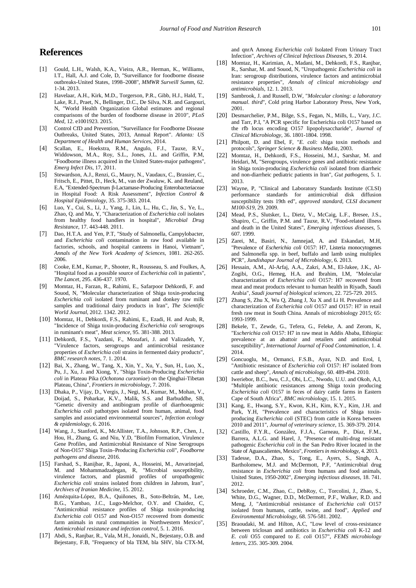# **References**

- <span id="page-5-0"></span>[1] Gould, L.H., Walsh, K.A., Vieira, A.R., Herman, K., Williams, I.T., Hall, A.J. and Cole, D, ''Surveillance for foodborne disease outbreaks-United States, 1998–2008'', *MMWR Surveill Summ*, 62. 1-34. 2013.
- <span id="page-5-1"></span>[2] Havelaar, A.H., Kirk, M.D., Torgerson, P.R., Gibb, H.J., Hald, T., Lake, R.J., Praet, N., Bellinger, D.C., De Silva, N.R. and Gargouri, N, "World Health Organization Global estimates and regional comparisons of the burden of foodborne disease in 2010", *PLoS Med,* 12. e1001923. 2015.
- [3] Control CfD and Prevention, "Surveillance for Foodborne Disease Outbreaks, United States, 2013, Annual Report". *Atlanta: US Department of Health and Human Services,* 2014.
- [4] Scallan, E., Hoekstra, R.M., Angulo, F.J., Tauxe, R.V., Widdowson, M.A., Roy, S.L., Jones, J.L. and Griffin, P.M, "Foodborne illness acquired in the United States-major pathogens", *Emerg Infect Dis*, 17, 2011.
- <span id="page-5-2"></span>[5] Stewardson, A.J., Renzi, G., Maury, N., Vaudaux, C., Brassier, C., Fritsch, E., Pittet, D., Heck, M., van der Zwaluw, K. and Reuland, E.A, "Extended-Spectrum β-Lactamase-Producing Enterobacteriaceae in Hospital Food: A Risk Assessment", *Infection Control & Hospital Epidemiology,* 35. 375-383. 2014.
- [6] Luo, Y., Cui, S., Li, J., Yang, J., Lin, L., Hu, C., Jin, S., Ye, L., Zhao, Q. and Ma, Y, "Characterization of *Escherichia coli* isolates from healthy food handlers in hospital", *Microbial Drug Resistance,* 17. 443-448. 2011.
- [7] Dao, H.T.A. and Yen, P.T, "Study of Salmonella, Campylobacter, and *Escherichia coli* contamination in raw food available in factories, schools, and hospital canteens in Hanoi, Vietnam", *Annals of the New York Academy of Sciences*, 1081. 262-265. 2006.
- [8] Cooke, E.M., Kumar, P., Shooter, R., Rousseau, S. and Foulkes, A, "Hospital food as a possible source of *Escherichia coli* in patients", *The Lancet*, 295. 436-437. 1970.
- <span id="page-5-3"></span>[9] Momtaz, H., Farzan, R., Rahimi, E., Safarpoor Dehkordi, F. and Souod, N, "Molecular characterization of Shiga toxin-producing *Escherichia coli* isolated from ruminant and donkey raw milk samples and traditional dairy products in Iran", *The Scientific World Journal*, 2012. 1342. 2012.
- <span id="page-5-4"></span>[10] Momtaz, H., Dehkordi, F.S., Rahimi, E., Ezadi, H. and Arab, R, "Incidence of Shiga toxin-producing *Escherichia coli* serogroups in ruminant's meat", *Meat science*, 95. 381-388. 2013.
- <span id="page-5-7"></span>[11] Dehkordi, F.S., Yazdani, F., Mozafari, J. and Valizadeh, Y, "Virulence factors, serogroups and antimicrobial resistance properties of *Escherichia coli* strains in fermented dairy products", *BMC research notes*, 7. 1. 2014.
- [12] Bai, X., Zhang, W., Tang, X., Xin, Y., Xu, Y., Sun, H., Luo, X., Pu, J., Xu, J. and Xiong, Y, "Shiga Toxin-Producing *Escherichia coli* in Plateau Pika (*Ochotona curzoniae*) on the Qinghai-Tibetan Plateau, China", *Frontiers in microbiology*, 7. 2016.
- [13] Dhaka, P., Vijay, D., Vergis, J., Negi, M., Kumar, M., Mohan, V., Doijad, S., Poharkar, K.V., Malik, S.S. and Barbuddhe, SB, "Genetic diversity and antibiogram profile of diarrhoeagenic *Escherichia coli* pathotypes isolated from human, animal, food samples and associated environmental sources", *Infection ecology & epidemiology*, 6. 2016.
- [14] Wang, J., Stanford, K., McAllister, T.A., Johnson, R.P., Chen, J., Hou, H., Zhang, G. and Niu, Y.D, "Biofilm Formation, Virulence Gene Profiles, and Antimicrobial Resistance of Nine Serogroups of Non-O157 Shiga Toxin–Producing *Escherichia coli*", *Foodborne pathogens and disease*, 2016.
- [15] Farshad, S., Ranijbar, R., Japoni, A., Hosseini, M., Anvarinejad, M. and Mohammadzadegan, R, "Microbial susceptibility, virulence factors, and plasmid profiles of uropathogenic *Escherichia coli* strains isolated from children in Jahrom, Iran", *Archives of Iranian Medicine*, 15. 2012.
- [16] Amézquita-López, B.A., Quiñones, B., Soto-Beltrán, M., Lee, B.G., Yambao, J.C., Lugo-Melchor, O.Y. and Chaidez, C, "Antimicrobial resistance profiles of Shiga toxin-producing *Escherichia coli* O157 and Non-O157 recovered from domestic farm animals in rural communities in Northwestern Mexico", *Antimicrobial resistance and infection control*, 5. 1. 2016.
- [17] Abdi, S., Ranjbar, R., Vala, M.H., Jonaidi, N., Bejestany, O.B. and Bejestany, F.B, "Frequency of bla TEM, bla SHV, bla CTX-M,

and qnrA Among *Escherichia coli* Isolated From Urinary Tract Infection", *Archives of Clinical Infectious Diseases*, 9. 2014.

- [18] Momtaz, H., Karimian, A., Madani, M., Dehkordi, F.S., Ranjbar, R., Sarshar, M. and Souod, N, "Uropathogenic *Escherichia coli* in Iran: serogroup distributions, virulence factors and antimicrobial resistance properties", *Annals of clinical microbiology and antimicrobials,* 12. 1. 2013.
- <span id="page-5-5"></span>[19] Sambrook, J. and Russell, D.W, "*Molecular cloning: a laboratory manual. third*", Cold pring Harbor Laboratory Press, New York, 2001.
- <span id="page-5-6"></span>[20] Desmarchelier, P.M., Bilge, S.S., Fegan, N., Mills, L., Vary, J.C. and Tarr, P.I, "A PCR specific for Escherichia coli O157 based on the rfb locus encoding O157 lipopolysaccharide", *Journal of Clinical Microbiology*, 36. 1801-1804. 1998.
- [21] Philpott, D. and Ebel, F, "*E. coli*: shiga toxin methods and protocols", *Springer Science & Business Media*, 2003.
- <span id="page-5-18"></span>[22] Momtaz, H., Dehkordi, F.S., Hosseini, M.J., Sarshar, M. and Heidari, M, "Serogroups, virulence genes and antibiotic resistance in Shiga toxin-producing *Escherichia coli* isolated from diarrheic and non-diarrheic pediatric patients in Iran", *Gut pathogens*, 5. 1. 2013.
- <span id="page-5-8"></span>[23] Wayne, P. "Clinical and Laboratory Standards Institute (CLSI) performance standards for antimicrobial disk diffusion susceptibility tests 19th ed", *approved standard, CLSI document M100-S19,* 29. 2009.
- <span id="page-5-9"></span>[24] Mead, P.S., Slutsker, L., Dietz, V., McCaig, L.F., Bresee, J.S., Shapiro, C., Griffin, P.M. and Tauxe, R.V, "Food-related illness and death in the United States", *Emerging infectious diseases*, 5. 607. 1999.
- <span id="page-5-10"></span>[25] Zarei, M., Basiri, N., Jamnejad, A. and Eskandari, M.H, "Prevalence of *Escherichia coli* O157: H7, Listeria monocytogenes and Salmonella spp. in beef, buffalo and lamb using multiplex PCR", *Jundishapur Journal of Microbiology*, 6. 2013.
- <span id="page-5-11"></span>[26] Hessain, A.M., Al-Arfaj, A.A., Zakri, A.M., El-Jakee, J.K., Al-Zogibi, O.G., Hemeg, H.A. and Ibrahim, I.M, "Molecular characterization of *Escherichia coli* O157: H7 recovered from meat and meat products relevant to human health in Riyadh, Saudi Arabia", *Saudi journal of biological sciences*, 22. 725-729. 2015.
- <span id="page-5-12"></span>[27] Zhang S, Zhu X, Wu Q, Zhang J, Xu X and Li H. Prevalence and characterization of *Escherichia coli* O157 and O157: H7 in retail fresh raw meat in South China. Annals of microbiology 2015; 65: 1993-1999.
- <span id="page-5-13"></span>[28] Bekele, T., Zewde, G., Tefera, G., Feleke, A. and Zerom, K, "E*scherichia coli* O157: H7 in raw meat in Addis Ababa, Ethiopia: prevalence at an abattoir and retailers and antimicrobial susceptibility", *International Journal of Food Contamination*, 1. 4. 2014.
- <span id="page-5-14"></span>[29] Goncuoglu, M., Ormanci, F.S.B., Ayaz, N.D. and Erol, I, "Antibiotic resistance of *Escherichia coli* O157: H7 isolated from cattle and sheep", *Annals of microbiology*, 60. 489-494. 2010.
- <span id="page-5-15"></span>[30] Iweriebor, B.C., Iwu, C.J., Obi, L.C., Nwodo, U.U. and Okoh, A,I, "Multiple antibiotic resistances among Shiga toxin producing *Escherichia coli* O157 in feces of dairy cattle farms in Eastern Cape of South Africa", *BMC microbiology*, 15. 1. 2015.
- <span id="page-5-16"></span>[31] Kang, E., Hwang, S.Y., Kwon, K.H., Kim, K.Y., Kim, J.H. and Park, Y.H, "Prevalence and characteristics of Shiga toxinproducing *Escherichia coli* (STEC) from cattle in Korea between 2010 and 2011", *Journal of veterinary science*, 15. 369-379. 2014.
- <span id="page-5-17"></span>[32] Castillo, F.Y.R., González, F.J.A., Garneau, P., Díaz, F.M., Barrera, A.L.G. and Harel, J, "Presence of multi-drug resistant pathogenic *Escherichia coli* in the San Pedro River located in the State of Aguascalientes, Mexico", *Frontiers in microbiology*, 4. 2013.
- <span id="page-5-19"></span>[33] Tadesse, D.A., Zhao, S., Tong, E., Ayers, S., Singh, A., Bartholomew, M.J. and McDermott, P.F, "Antimicrobial drug resistance in *Escherichia coli* from humans and food animals, United States, 1950-2002", *Emerging infectious diseases*, 18. 741. 2012.
- <span id="page-5-20"></span>[34] Schroeder, C.M., Zhao, C., DebRoy, C., Torcolini, J., Zhao, S., White, D.G., Wagner, D.D., McDermott, P.F., Walker, R.D. and Meng, J, "Antimicrobial resistance of *Escherichia coli* O157 isolated from humans, cattle, swine, and food", *Applied and Environmental Microbiology*, 68. 576-581. 2002.
- <span id="page-5-21"></span>[35] Braoudaki, M. and Hilton, A.C, "Low level of cross-resistance between triclosan and antibiotics in *Escherichia coli* K-12 and *E. coli* O55 compared to *E. coli* O157", *FEMS microbiology letters*, 235. 305-309. 2004.